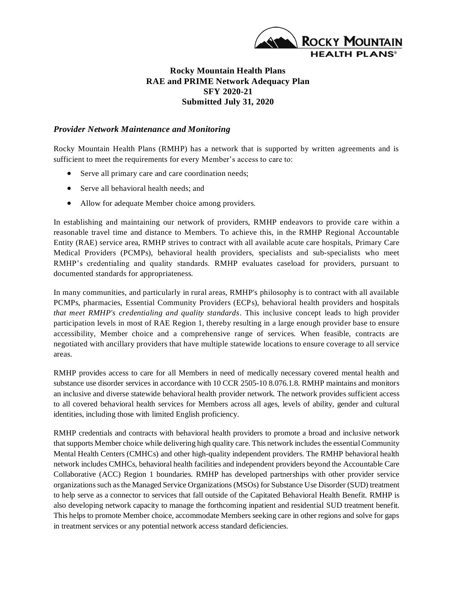

## **Rocky Mountain Health Plans RAE and PRIME Network Adequacy Plan SFY 2020-21 Submitted July 31, 2020**

### *Provider Network Maintenance and Monitoring*

Rocky Mountain Health Plans (RMHP) has a network that is supported by written agreements and is sufficient to meet the requirements for every Member's access to care to:

- Serve all primary care and care coordination needs;
- Serve all behavioral health needs; and
- Allow for adequate Member choice among providers.

In establishing and maintaining our network of providers, RMHP endeavors to provide care within a reasonable travel time and distance to Members. To achieve this, in the RMHP Regional Accountable Entity (RAE) service area, RMHP strives to contract with all available acute care hospitals, Primary Care Medical Providers (PCMPs), behavioral health providers, specialists and sub-specialists who meet RMHP's credentialing and quality standards. RMHP evaluates caseload for providers, pursuant to documented standards for appropriateness.

In many communities, and particularly in rural areas, RMHP's philosophy is to contract with all available PCMPs, pharmacies, Essential Community Providers (ECPs), behavioral health providers and hospitals *that meet RMHP's credentialing and quality standards*. This inclusive concept leads to high provider participation levels in most of RAE Region 1, thereby resulting in a large enough provider base to ensure accessibility, Member choice and a comprehensive range of services. When feasible, contracts are negotiated with ancillary providers that have multiple statewide locations to ensure coverage to all service areas.

RMHP provides access to care for all Members in need of medically necessary covered mental health and substance use disorder services in accordance with 10 CCR 2505-10 8.076.1.8. RMHP maintains and monitors an inclusive and diverse statewide behavioral health provider network. The network provides sufficient access to all covered behavioral health services for Members across all ages, levels of ability, gender and cultural identities, including those with limited English proficiency.

RMHP credentials and contracts with behavioral health providers to promote a broad and inclusive network that supports Member choice while delivering high quality care. This network includes the essential Community Mental Health Centers (CMHCs) and other high-quality independent providers. The RMHP behavioral health network includes CMHCs, behavioral health facilities and independent providers beyond the Accountable Care Collaborative (ACC) Region 1 boundaries. RMHP has developed partnerships with other provider service organizations such as the Managed Service Organizations (MSOs) for Substance Use Disorder (SUD) treatment to help serve as a connector to services that fall outside of the Capitated Behavioral Health Benefit. RMHP is also developing network capacity to manage the forthcoming inpatient and residential SUD treatment benefit. This helps to promote Member choice, accommodate Members seeking care in other regions and solve for gaps in treatment services or any potential network access standard deficiencies.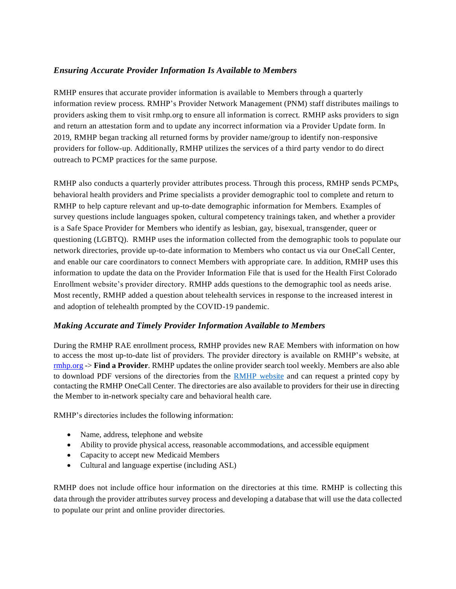## *Ensuring Accurate Provider Information Is Available to Members*

RMHP ensures that accurate provider information is available to Members through a quarterly information review process. RMHP's Provider Network Management (PNM) staff distributes mailings to providers asking them to visit rmhp.org to ensure all information is correct. RMHP asks providers to sign and return an attestation form and to update any incorrect information via a Provider Update form. In 2019, RMHP began tracking all returned forms by provider name/group to identify non-responsive providers for follow-up. Additionally, RMHP utilizes the services of a third party vendor to do direct outreach to PCMP practices for the same purpose.

RMHP also conducts a quarterly provider attributes process. Through this process, RMHP sends PCMPs, behavioral health providers and Prime specialists a provider demographic tool to complete and return to RMHP to help capture relevant and up-to-date demographic information for Members. Examples of survey questions include languages spoken, cultural competency trainings taken, and whether a provider is a Safe Space Provider for Members who identify as lesbian, gay, bisexual, transgender, queer or questioning (LGBTQ). RMHP uses the information collected from the demographic tools to populate our network directories, provide up-to-date information to Members who contact us via our OneCall Center, and enable our care coordinators to connect Members with appropriate care. In addition, RMHP uses this information to update the data on the Provider Information File that is used for the Health First Colorado Enrollment website's provider directory. RMHP adds questions to the demographic tool as needs arise. Most recently, RMHP added a question about telehealth services in response to the increased interest in and adoption of telehealth prompted by the COVID-19 pandemic.

## *Making Accurate and Timely Provider Information Available to Members*

During the RMHP RAE enrollment process, RMHP provides new RAE Members with information on how to access the most up-to-date list of providers. The provider directory is available on RMHP's website, at [rmhp.org](http://rmhp.org/) -> **Find a Provider**. RMHP updates the online provider search tool weekly. Members are also able to download PDF versions of the directories from the **RMHP** website and can request a printed copy by contacting the RMHP OneCall Center. The directories are also available to providers for their use in directing the Member to in-network specialty care and behavioral health care.

RMHP's directories includes the following information:

- Name, address, telephone and website
- Ability to provide physical access, reasonable accommodations, and accessible equipment
- Capacity to accept new Medicaid Members
- Cultural and language expertise (including ASL)

RMHP does not include office hour information on the directories at this time. RMHP is collecting this data through the provider attributes survey process and developing a database that will use the data collected to populate our print and online provider directories.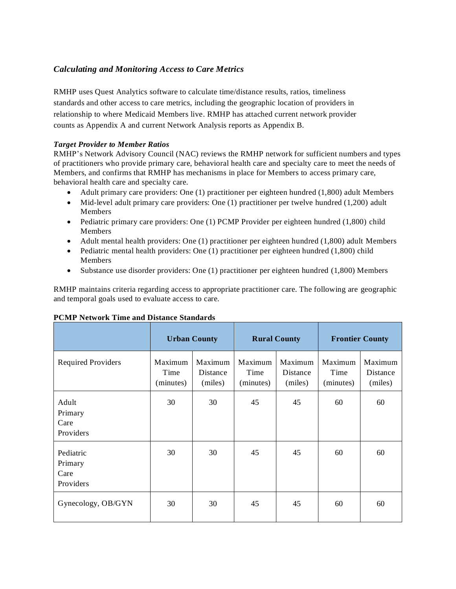## *Calculating and Monitoring Access to Care Metrics*

RMHP uses Quest Analytics software to calculate time/distance results, ratios, timeliness standards and other access to care metrics, including the geographic location of providers in relationship to where Medicaid Members live. RMHP has attached current network provider counts as Appendix A and current Network Analysis reports as Appendix B.

### *Target Provider to Member Ratios*

RMHP's Network Advisory Council (NAC) reviews the RMHP network for sufficient numbers and types of practitioners who provide primary care, behavioral health care and specialty care to meet the needs of Members, and confirms that RMHP has mechanisms in place for Members to access primary care, behavioral health care and specialty care.

- Adult primary care providers: One (1) practitioner per eighteen hundred (1,800) adult Members
- Mid-level adult primary care providers: One (1) practitioner per twelve hundred (1,200) adult Members
- Pediatric primary care providers: One (1) PCMP Provider per eighteen hundred (1,800) child Members
- Adult mental health providers: One (1) practitioner per eighteen hundred (1,800) adult Members
- Pediatric mental health providers: One (1) practitioner per eighteen hundred (1,800) child Members
- Substance use disorder providers: One (1) practitioner per eighteen hundred (1,800) Members

RMHP maintains criteria regarding access to appropriate practitioner care. The following are geographic and temporal goals used to evaluate access to care.

|                                           | <b>Urban County</b>          |                                | <b>Rural County</b>          |                                       | <b>Frontier County</b>       |                                |
|-------------------------------------------|------------------------------|--------------------------------|------------------------------|---------------------------------------|------------------------------|--------------------------------|
| <b>Required Providers</b>                 | Maximum<br>Time<br>(minutes) | Maximum<br>Distance<br>(miles) | Maximum<br>Time<br>(minutes) | Maximum<br><b>Distance</b><br>(miles) | Maximum<br>Time<br>(minutes) | Maximum<br>Distance<br>(miles) |
| Adult<br>Primary<br>Care<br>Providers     | 30                           | 30                             | 45                           | 45                                    | 60                           | 60                             |
| Pediatric<br>Primary<br>Care<br>Providers | 30                           | 30                             | 45                           | 45                                    | 60                           | 60                             |
| Gynecology, OB/GYN                        | 30                           | 30                             | 45                           | 45                                    | 60                           | 60                             |

#### **PCMP Network Time and Distance Standards**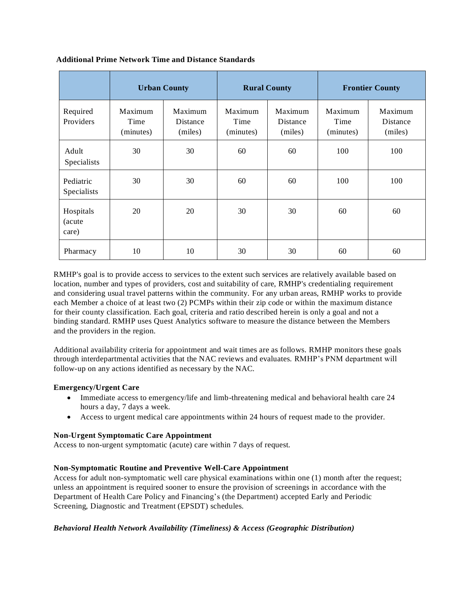|                              |                              | <b>Urban County</b>            |                              | <b>Rural County</b>            |                              | <b>Frontier County</b>         |
|------------------------------|------------------------------|--------------------------------|------------------------------|--------------------------------|------------------------------|--------------------------------|
| Required<br>Providers        | Maximum<br>Time<br>(minutes) | Maximum<br>Distance<br>(miles) | Maximum<br>Time<br>(minutes) | Maximum<br>Distance<br>(miles) | Maximum<br>Time<br>(minutes) | Maximum<br>Distance<br>(miles) |
| Adult<br>Specialists         | 30                           | 30                             | 60                           | 60                             | 100                          | 100                            |
| Pediatric<br>Specialists     | 30                           | 30                             | 60                           | 60                             | 100                          | 100                            |
| Hospitals<br>(acute<br>care) | 20                           | 20                             | 30                           | 30                             | 60                           | 60                             |
| Pharmacy                     | 10                           | 10                             | 30                           | 30                             | 60                           | 60                             |

### **Additional Prime Network Time and Distance Standards**

RMHP's goal is to provide access to services to the extent such services are relatively available based on location, number and types of providers, cost and suitability of care, RMHP's credentialing requirement and considering usual travel patterns within the community. For any urban areas, RMHP works to provide each Member a choice of at least two (2) PCMPs within their zip code or within the maximum distance for their county classification. Each goal, criteria and ratio described herein is only a goal and not a binding standard. RMHP uses Quest Analytics software to measure the distance between the Members and the providers in the region.

Additional availability criteria for appointment and wait times are as follows. RMHP monitors these goals through interdepartmental activities that the NAC reviews and evaluates. RMHP's PNM department will follow-up on any actions identified as necessary by the NAC.

## **Emergency/Urgent Care**

- Immediate access to emergency/life and limb-threatening medical and behavioral health care 24 hours a day, 7 days a week.
- Access to urgent medical care appointments within 24 hours of request made to the provider.

#### **Non-Urgent Symptomatic Care Appointment**

Access to non-urgent symptomatic (acute) care within 7 days of request.

## **Non-Symptomatic Routine and Preventive Well-Care Appointment**

Access for adult non-symptomatic well care physical examinations within one (1) month after the request; unless an appointment is required sooner to ensure the provision of screenings in accordance with the Department of Health Care Policy and Financing's (the Department) accepted Early and Periodic Screening, Diagnostic and Treatment (EPSDT) schedules.

## *Behavioral Health Network Availability (Timeliness) & Access (Geographic Distribution)*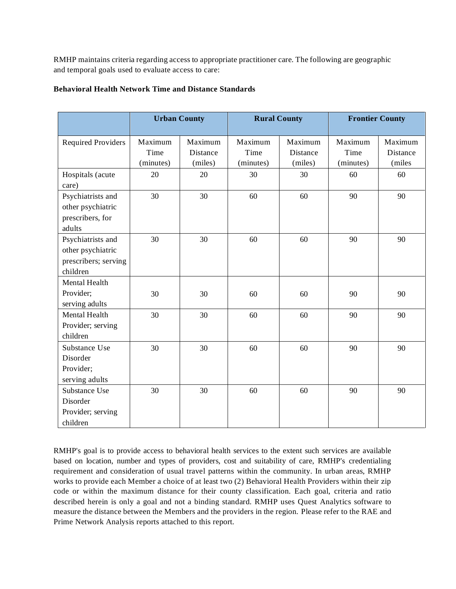RMHP maintains criteria regarding access to appropriate practitioner care. The following are geographic and temporal goals used to evaluate access to care:

|                                                                            |                              | <b>Urban County</b>            | <b>Rural County</b>          |                                | <b>Frontier County</b>       |                               |
|----------------------------------------------------------------------------|------------------------------|--------------------------------|------------------------------|--------------------------------|------------------------------|-------------------------------|
| <b>Required Providers</b>                                                  | Maximum<br>Time<br>(minutes) | Maximum<br>Distance<br>(miles) | Maximum<br>Time<br>(minutes) | Maximum<br>Distance<br>(miles) | Maximum<br>Time<br>(minutes) | Maximum<br>Distance<br>(miles |
| Hospitals (acute<br>care)                                                  | 20                           | 20                             | 30                           | 30                             | 60                           | 60                            |
| Psychiatrists and<br>other psychiatric<br>prescribers, for<br>adults       | 30                           | 30                             | 60                           | 60                             | 90                           | 90                            |
| Psychiatrists and<br>other psychiatric<br>prescribers; serving<br>children | 30                           | 30                             | 60                           | 60                             | 90                           | 90                            |
| <b>Mental Health</b><br>Provider;<br>serving adults                        | 30                           | 30                             | 60                           | 60                             | 90                           | 90                            |
| Mental Health<br>Provider; serving<br>children                             | 30                           | 30                             | 60                           | 60                             | 90                           | 90                            |
| Substance Use<br>Disorder<br>Provider;<br>serving adults                   | 30                           | 30                             | 60                           | 60                             | 90                           | 90                            |
| Substance Use<br>Disorder<br>Provider; serving<br>children                 | 30                           | 30                             | 60                           | 60                             | 90                           | 90                            |

### **Behavioral Health Network Time and Distance Standards**

RMHP's goal is to provide access to behavioral health services to the extent such services are available based on location, number and types of providers, cost and suitability of care, RMHP's credentialing requirement and consideration of usual travel patterns within the community. In urban areas, RMHP works to provide each Member a choice of at least two (2) Behavioral Health Providers within their zip code or within the maximum distance for their county classification. Each goal, criteria and ratio described herein is only a goal and not a binding standard. RMHP uses Quest Analytics software to measure the distance between the Members and the providers in the region. Please refer to the RAE and Prime Network Analysis reports attached to this report.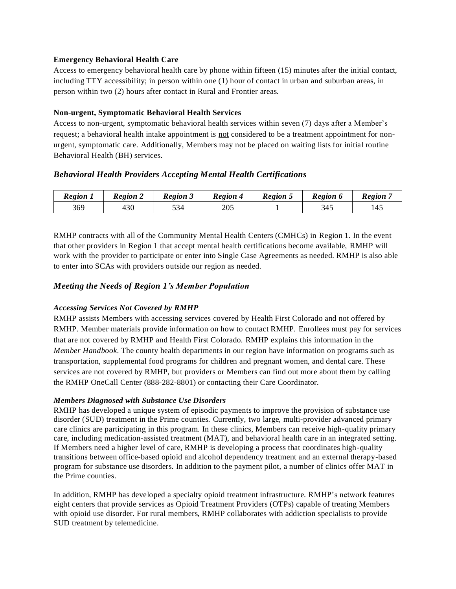### **Emergency Behavioral Health Care**

Access to emergency behavioral health care by phone within fifteen (15) minutes after the initial contact, including TTY accessibility; in person within one (1) hour of contact in urban and suburban areas, in person within two (2) hours after contact in Rural and Frontier areas.

### **Non-urgent, Symptomatic Behavioral Health Services**

Access to non-urgent, symptomatic behavioral health services within seven (7) days after a Member's request; a behavioral health intake appointment is not considered to be a treatment appointment for nonurgent, symptomatic care. Additionally, Members may not be placed on waiting lists for initial routine Behavioral Health (BH) services.

## *Behavioral Health Providers Accepting Mental Health Certifications*

| <b>Region 1</b> | <b>Region 2</b> | <b>Region 3</b> | <b>Region 4</b> | <b>Region 5</b> | Region 6 | Region |
|-----------------|-----------------|-----------------|-----------------|-----------------|----------|--------|
| 369             | 430             | 534             | 205             |                 | 345      | 145    |

RMHP contracts with all of the Community Mental Health Centers (CMHCs) in Region 1. In the event that other providers in Region 1 that accept mental health certifications become available, RMHP will work with the provider to participate or enter into Single Case Agreements as needed. RMHP is also able to enter into SCAs with providers outside our region as needed.

## *Meeting the Needs of Region 1's Member Population*

## *Accessing Services Not Covered by RMHP*

RMHP assists Members with accessing services covered by Health First Colorado and not offered by RMHP. Member materials provide information on how to contact RMHP. Enrollees must pay for services that are not covered by RMHP and Health First Colorado. RMHP explains this information in the *Member Handbook*. The county health departments in our region have information on programs such as transportation, supplemental food programs for children and pregnant women, and dental care. These services are not covered by RMHP, but providers or Members can find out more about them by calling the RMHP OneCall Center (888-282-8801) or contacting their Care Coordinator.

#### *Members Diagnosed with Substance Use Disorders*

RMHP has developed a unique system of episodic payments to improve the provision of substance use disorder (SUD) treatment in the Prime counties. Currently, two large, multi-provider advanced primary care clinics are participating in this program. In these clinics, Members can receive high-quality primary care, including medication-assisted treatment (MAT), and behavioral health care in an integrated setting. If Members need a higher level of care, RMHP is developing a process that coordinates high-quality transitions between office-based opioid and alcohol dependency treatment and an external therapy-based program for substance use disorders. In addition to the payment pilot, a number of clinics offer MAT in the Prime counties.

In addition, RMHP has developed a specialty opioid treatment infrastructure. RMHP's network features eight centers that provide services as Opioid Treatment Providers (OTPs) capable of treating Members with opioid use disorder. For rural members, RMHP collaborates with addiction specialists to provide SUD treatment by telemedicine.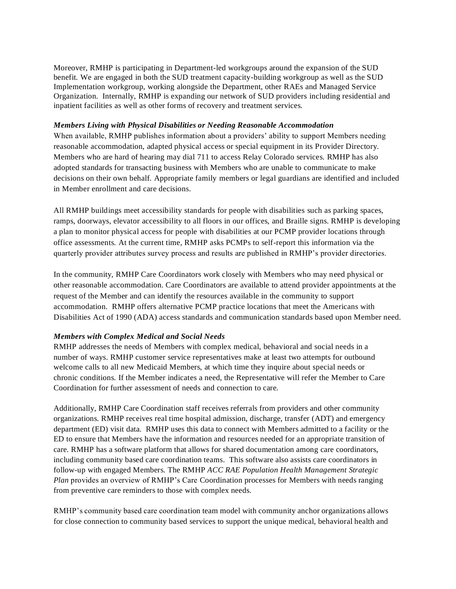Moreover, RMHP is participating in Department-led workgroups around the expansion of the SUD benefit. We are engaged in both the SUD treatment capacity-building workgroup as well as the SUD Implementation workgroup, working alongside the Department, other RAEs and Managed Service Organization. Internally, RMHP is expanding our network of SUD providers including residential and inpatient facilities as well as other forms of recovery and treatment services.

#### *Members Living with Physical Disabilities or Needing Reasonable Accommodation*

When available, RMHP publishes information about a providers' ability to support Members needing reasonable accommodation, adapted physical access or special equipment in its Provider Directory. Members who are hard of hearing may dial 711 to access Relay Colorado services. RMHP has also adopted standards for transacting business with Members who are unable to communicate to make decisions on their own behalf. Appropriate family members or legal guardians are identified and included in Member enrollment and care decisions.

All RMHP buildings meet accessibility standards for people with disabilities such as parking spaces, ramps, doorways, elevator accessibility to all floors in our offices, and Braille signs. RMHP is developing a plan to monitor physical access for people with disabilities at our PCMP provider locations through office assessments. At the current time, RMHP asks PCMPs to self-report this information via the quarterly provider attributes survey process and results are published in RMHP's provider directories.

In the community, RMHP Care Coordinators work closely with Members who may need physical or other reasonable accommodation. Care Coordinators are available to attend provider appointments at the request of the Member and can identify the resources available in the community to support accommodation. RMHP offers alternative PCMP practice locations that meet the Americans with Disabilities Act of 1990 (ADA) access standards and communication standards based upon Member need.

#### *Members with Complex Medical and Social Needs*

RMHP addresses the needs of Members with complex medical, behavioral and social needs in a number of ways. RMHP customer service representatives make at least two attempts for outbound welcome calls to all new Medicaid Members, at which time they inquire about special needs or chronic conditions. If the Member indicates a need, the Representative will refer the Member to Care Coordination for further assessment of needs and connection to care.

Additionally, RMHP Care Coordination staff receives referrals from providers and other community organizations. RMHP receives real time hospital admission, discharge, transfer (ADT) and emergency department (ED) visit data. RMHP uses this data to connect with Members admitted to a facility or the ED to ensure that Members have the information and resources needed for an appropriate transition of care. RMHP has a software platform that allows for shared documentation among care coordinators, including community based care coordination teams. This software also assists care coordinators in follow-up with engaged Members. The RMHP *ACC RAE Population Health Management Strategic Plan* provides an overview of RMHP's Care Coordination processes for Members with needs ranging from preventive care reminders to those with complex needs.

RMHP's community based care coordination team model with community anchor organizations allows for close connection to community based services to support the unique medical, behavioral health and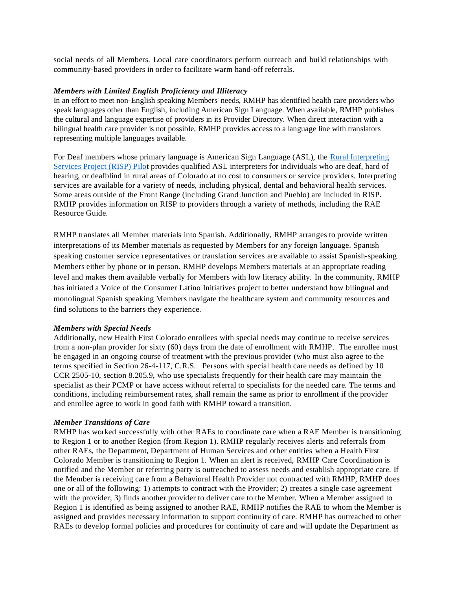social needs of all Members. Local care coordinators perform outreach and build relationships with community-based providers in order to facilitate warm hand-off referrals.

#### *Members with Limited English Proficiency and Illiteracy*

In an effort to meet non-English speaking Members' needs, RMHP has identified health care providers who speak languages other than English, including American Sign Language. When available, RMHP publishes the cultural and language expertise of providers in its Provider Directory. When direct interaction with a bilingual health care provider is not possible, RMHP provides access to a language line with translators representing multiple languages available.

For Deaf members whose primary language is American Sign Language (ASL), the [Rural Interpreting](https://ccdhh.com/index.php/risp/)  [Services Project \(RISP\) Pilot](https://ccdhh.com/index.php/risp/) provides qualified ASL interpreters for individuals who are deaf, hard of hearing, or deafblind in rural areas of Colorado at no cost to consumers or service providers. Interpreting services are available for a variety of needs, including physical, dental and behavioral health services. Some areas outside of the Front Range (including Grand Junction and Pueblo) are included in RISP. RMHP provides information on RISP to providers through a variety of methods, including the RAE Resource Guide.

RMHP translates all Member materials into Spanish. Additionally, RMHP arranges to provide written interpretations of its Member materials as requested by Members for any foreign language. Spanish speaking customer service representatives or translation services are available to assist Spanish-speaking Members either by phone or in person. RMHP develops Members materials at an appropriate reading level and makes them available verbally for Members with low literacy ability. In the community, RMHP has initiated a Voice of the Consumer Latino Initiatives project to better understand how bilingual and monolingual Spanish speaking Members navigate the healthcare system and community resources and find solutions to the barriers they experience.

#### *Members with Special Needs*

Additionally, new Health First Colorado enrollees with special needs may continue to receive services from a non-plan provider for sixty (60) days from the date of enrollment with RMHP. The enrollee must be engaged in an ongoing course of treatment with the previous provider (who must also agree to the terms specified in Section 26-4-117, C.R.S. Persons with special health care needs as defined by 10 CCR 2505-10, section 8.205.9, who use specialists frequently for their health care may maintain the specialist as their PCMP or have access without referral to specialists for the needed care. The terms and conditions, including reimbursement rates, shall remain the same as prior to enrollment if the provider and enrollee agree to work in good faith with RMHP toward a transition.

#### *Member Transitions of Care*

RMHP has worked successfully with other RAEs to coordinate care when a RAE Member is transitioning to Region 1 or to another Region (from Region 1). RMHP regularly receives alerts and referrals from other RAEs, the Department, Department of Human Services and other entities when a Health First Colorado Member is transitioning to Region 1. When an alert is received, RMHP Care Coordination is notified and the Member or referring party is outreached to assess needs and establish appropriate care. If the Member is receiving care from a Behavioral Health Provider not contracted with RMHP, RMHP does one or all of the following: 1) attempts to contract with the Provider; 2) creates a single case agreement with the provider; 3) finds another provider to deliver care to the Member. When a Member assigned to Region 1 is identified as being assigned to another RAE, RMHP notifies the RAE to whom the Member is assigned and provides necessary information to support continuity of care. RMHP has outreached to other RAEs to develop formal policies and procedures for continuity of care and will update the Department as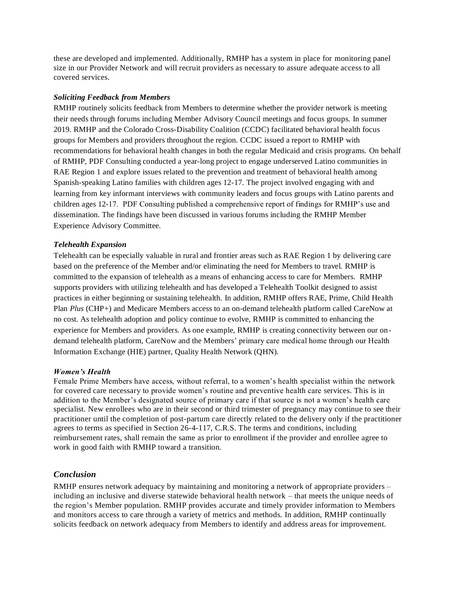these are developed and implemented. Additionally, RMHP has a system in place for monitoring panel size in our Provider Network and will recruit providers as necessary to assure adequate access to all covered services.

#### *Soliciting Feedback from Members*

RMHP routinely solicits feedback from Members to determine whether the provider network is meeting their needs through forums including Member Advisory Council meetings and focus groups. In summer 2019. RMHP and the Colorado Cross-Disability Coalition (CCDC) facilitated behavioral health focus groups for Members and providers throughout the region. CCDC issued a report to RMHP with recommendations for behavioral health changes in both the regular Medicaid and crisis programs. On behalf of RMHP, PDF Consulting conducted a year-long project to engage underserved Latino communities in RAE Region 1 and explore issues related to the prevention and treatment of behavioral health among Spanish-speaking Latino families with children ages 12-17. The project involved engaging with and learning from key informant interviews with community leaders and focus groups with Latino parents and children ages 12-17. PDF Consulting published a comprehensive report of findings for RMHP's use and dissemination. The findings have been discussed in various forums including the RMHP Member Experience Advisory Committee.

#### *Telehealth Expansion*

Telehealth can be especially valuable in rural and frontier areas such as RAE Region 1 by delivering care based on the preference of the Member and/or eliminating the need for Members to travel. RMHP is committed to the expansion of telehealth as a means of enhancing access to care for Members. RMHP supports providers with utilizing telehealth and has developed a Telehealth Toolkit designed to assist practices in either beginning or sustaining telehealth. In addition, RMHP offers RAE, Prime, Child Health Plan *Plus* (CHP+) and Medicare Members access to an on-demand telehealth platform called CareNow at no cost. As telehealth adoption and policy continue to evolve, RMHP is committed to enhancing the experience for Members and providers. As one example, RMHP is creating connectivity between our ondemand telehealth platform, CareNow and the Members' primary care medical home through our Health Information Exchange (HIE) partner, Quality Health Network (QHN).

#### *Women's Health*

Female Prime Members have access, without referral, to a women's health specialist within the network for covered care necessary to provide women's routine and preventive health care services. This is in addition to the Member's designated source of primary care if that source is not a women's health care specialist. New enrollees who are in their second or third trimester of pregnancy may continue to see their practitioner until the completion of post-partum care directly related to the delivery only if the practitioner agrees to terms as specified in Section 26-4-117, C.R.S. The terms and conditions, including reimbursement rates, shall remain the same as prior to enrollment if the provider and enrollee agree to work in good faith with RMHP toward a transition.

#### *Conclusion*

RMHP ensures network adequacy by maintaining and monitoring a network of appropriate providers – including an inclusive and diverse statewide behavioral health network – that meets the unique needs of the region's Member population. RMHP provides accurate and timely provider information to Members and monitors access to care through a variety of metrics and methods. In addition, RMHP continually solicits feedback on network adequacy from Members to identify and address areas for improvement.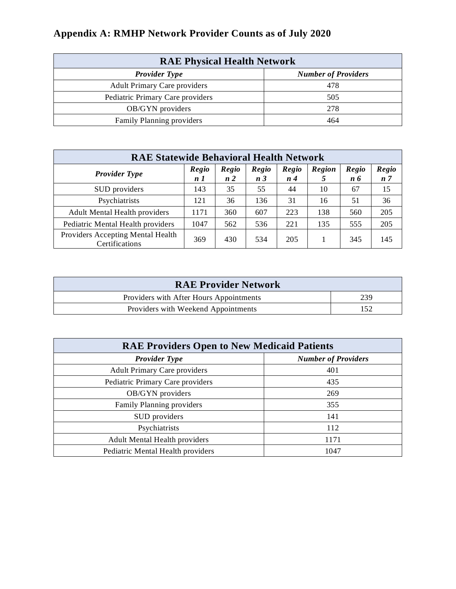| <b>RAE Physical Health Network</b>  |                            |  |  |  |
|-------------------------------------|----------------------------|--|--|--|
| <b>Provider Type</b>                | <b>Number of Providers</b> |  |  |  |
| <b>Adult Primary Care providers</b> | 478                        |  |  |  |
| Pediatric Primary Care providers    | 505                        |  |  |  |
| OB/GYN providers                    | 278                        |  |  |  |
| Family Planning providers           | 464                        |  |  |  |

| <b>RAE Statewide Behavioral Health Network</b>      |                         |                         |                         |                 |                    |              |                                |
|-----------------------------------------------------|-------------------------|-------------------------|-------------------------|-----------------|--------------------|--------------|--------------------------------|
| <b>Provider Type</b>                                | Regio<br>n <sub>1</sub> | Regio<br>n <sub>2</sub> | Regio<br>n <sub>3</sub> | Regio<br>$n\,4$ | <b>Region</b><br>5 | Regio<br>n 6 | <b>Regio</b><br>n <sub>7</sub> |
| SUD providers                                       | 143                     | 35                      | 55                      | 44              | 10                 | 67           | 15                             |
| Psychiatrists                                       | 121                     | 36                      | 136                     | 31              | 16                 | 51           | 36                             |
| <b>Adult Mental Health providers</b>                | 1171                    | 360                     | 607                     | 223             | 138                | 560          | 205                            |
| Pediatric Mental Health providers                   | 1047                    | 562                     | 536                     | 221             | 135                | 555          | 205                            |
| Providers Accepting Mental Health<br>Certifications | 369                     | 430                     | 534                     | 205             |                    | 345          | 145                            |

| <b>RAE Provider Network</b>             |     |
|-----------------------------------------|-----|
| Providers with After Hours Appointments | 239 |
| Providers with Weekend Appointments     | 152 |

| <b>RAE Providers Open to New Medicaid Patients</b> |                            |  |  |
|----------------------------------------------------|----------------------------|--|--|
| <b>Provider Type</b>                               | <b>Number of Providers</b> |  |  |
| <b>Adult Primary Care providers</b>                | 401                        |  |  |
| Pediatric Primary Care providers                   | 435                        |  |  |
| OB/GYN providers                                   | 269                        |  |  |
| Family Planning providers                          | 355                        |  |  |
| SUD providers                                      | 141                        |  |  |
| Psychiatrists                                      | 112                        |  |  |
| <b>Adult Mental Health providers</b>               | 1171                       |  |  |
| Pediatric Mental Health providers                  | 1047                       |  |  |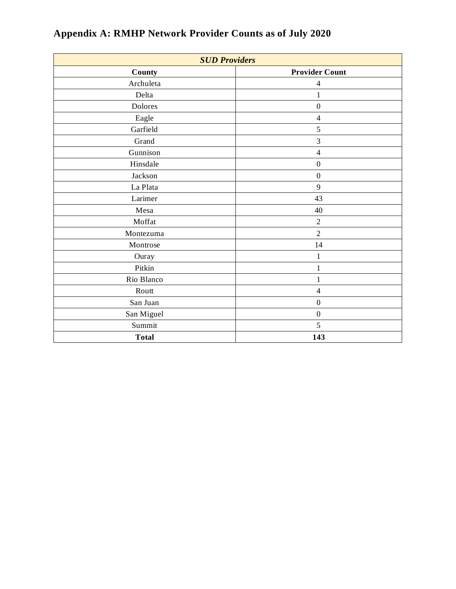| <b>SUD Providers</b> |                       |  |  |  |
|----------------------|-----------------------|--|--|--|
| County               | <b>Provider Count</b> |  |  |  |
| Archuleta            | $\overline{4}$        |  |  |  |
| Delta                | 1                     |  |  |  |
| Dolores              | $\boldsymbol{0}$      |  |  |  |
| Eagle                | $\overline{4}$        |  |  |  |
| Garfield             | 5                     |  |  |  |
| Grand                | 3                     |  |  |  |
| Gunnison             | $\overline{4}$        |  |  |  |
| Hinsdale             | $\boldsymbol{0}$      |  |  |  |
| Jackson              | $\boldsymbol{0}$      |  |  |  |
| La Plata             | 9                     |  |  |  |
| Larimer              | 43                    |  |  |  |
| Mesa                 | 40                    |  |  |  |
| Moffat               | $\overline{2}$        |  |  |  |
| Montezuma            | $\overline{2}$        |  |  |  |
| Montrose             | 14                    |  |  |  |
| Ouray                | $\mathbf{1}$          |  |  |  |
| Pitkin               | $\mathbf{1}$          |  |  |  |
| Rio Blanco           | 1                     |  |  |  |
| Routt                | $\overline{4}$        |  |  |  |
| San Juan             | $\boldsymbol{0}$      |  |  |  |
| San Miguel           | $\boldsymbol{0}$      |  |  |  |
| Summit               | 5                     |  |  |  |
| <b>Total</b>         | 143                   |  |  |  |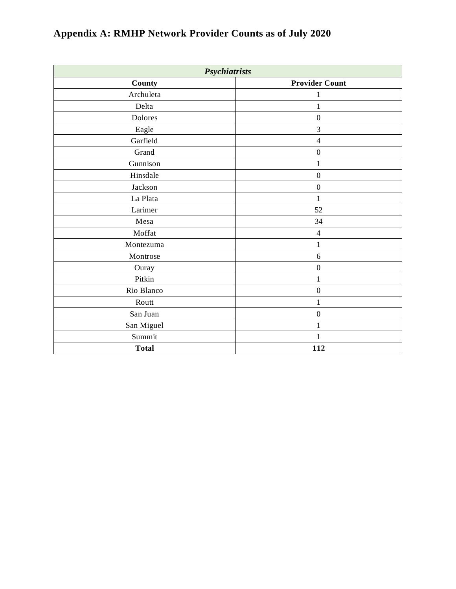| Psychiatrists |                       |  |  |  |
|---------------|-----------------------|--|--|--|
| County        | <b>Provider Count</b> |  |  |  |
| Archuleta     | 1                     |  |  |  |
| Delta         | $\,1$                 |  |  |  |
| Dolores       | $\boldsymbol{0}$      |  |  |  |
| Eagle         | 3                     |  |  |  |
| Garfield      | $\overline{4}$        |  |  |  |
| Grand         | $\boldsymbol{0}$      |  |  |  |
| Gunnison      | $\mathbf{1}$          |  |  |  |
| Hinsdale      | $\boldsymbol{0}$      |  |  |  |
| Jackson       | $\boldsymbol{0}$      |  |  |  |
| La Plata      | 1                     |  |  |  |
| Larimer       | 52                    |  |  |  |
| Mesa          | 34                    |  |  |  |
| Moffat        | $\overline{4}$        |  |  |  |
| Montezuma     | $\mathbf{1}$          |  |  |  |
| Montrose      | $\sqrt{6}$            |  |  |  |
| Ouray         | $\boldsymbol{0}$      |  |  |  |
| Pitkin        | 1                     |  |  |  |
| Rio Blanco    | $\boldsymbol{0}$      |  |  |  |
| Routt         | 1                     |  |  |  |
| San Juan      | $\boldsymbol{0}$      |  |  |  |
| San Miguel    | $\mathbf{1}$          |  |  |  |
| Summit        | $\mathbf{1}$          |  |  |  |
| <b>Total</b>  | 112                   |  |  |  |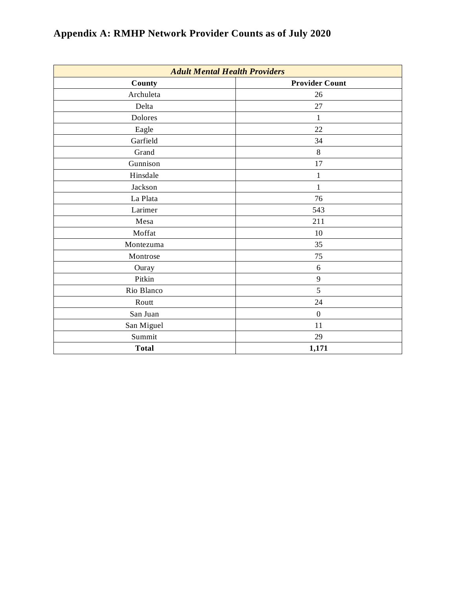| <b>Adult Mental Health Providers</b> |                       |  |  |  |
|--------------------------------------|-----------------------|--|--|--|
| County                               | <b>Provider Count</b> |  |  |  |
| Archuleta                            | 26                    |  |  |  |
| Delta                                | 27                    |  |  |  |
| Dolores                              | $\mathbf{1}$          |  |  |  |
| Eagle                                | 22                    |  |  |  |
| Garfield                             | 34                    |  |  |  |
| Grand                                | 8                     |  |  |  |
| Gunnison                             | 17                    |  |  |  |
| Hinsdale                             | $\mathbf{1}$          |  |  |  |
| Jackson                              | $\mathbf{1}$          |  |  |  |
| La Plata                             | 76                    |  |  |  |
| Larimer                              | 543                   |  |  |  |
| Mesa                                 | 211                   |  |  |  |
| Moffat                               | 10                    |  |  |  |
| Montezuma                            | 35                    |  |  |  |
| Montrose                             | $75\,$                |  |  |  |
| Ouray                                | $\sqrt{6}$            |  |  |  |
| Pitkin                               | 9                     |  |  |  |
| Rio Blanco                           | 5                     |  |  |  |
| Routt                                | 24                    |  |  |  |
| San Juan                             | $\boldsymbol{0}$      |  |  |  |
| San Miguel                           | 11                    |  |  |  |
| Summit                               | 29                    |  |  |  |
| <b>Total</b>                         | 1,171                 |  |  |  |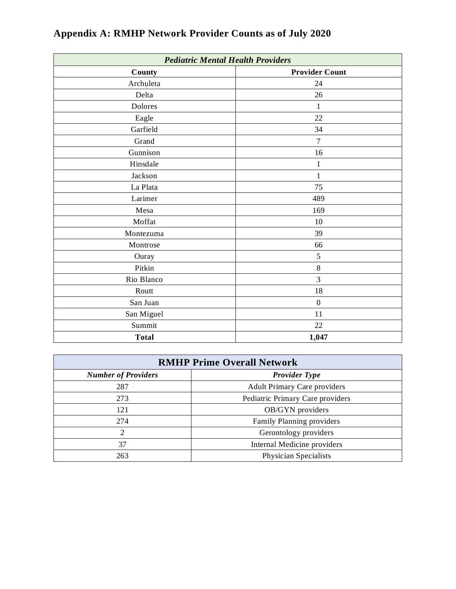| <b>Pediatric Mental Health Providers</b> |                       |  |  |  |
|------------------------------------------|-----------------------|--|--|--|
| County                                   | <b>Provider Count</b> |  |  |  |
| Archuleta                                | 24                    |  |  |  |
| Delta                                    | 26                    |  |  |  |
| Dolores                                  | $\mathbf{1}$          |  |  |  |
| Eagle                                    | 22                    |  |  |  |
| Garfield                                 | 34                    |  |  |  |
| Grand                                    | $\tau$                |  |  |  |
| Gunnison                                 | 16                    |  |  |  |
| Hinsdale                                 | $\mathbf{1}$          |  |  |  |
| Jackson                                  | 1                     |  |  |  |
| La Plata                                 | 75                    |  |  |  |
| Larimer                                  | 489                   |  |  |  |
| Mesa                                     | 169                   |  |  |  |
| Moffat                                   | 10                    |  |  |  |
| Montezuma                                | 39                    |  |  |  |
| Montrose                                 | 66                    |  |  |  |
| Ouray                                    | 5                     |  |  |  |
| Pitkin                                   | $\,8\,$               |  |  |  |
| Rio Blanco                               | 3                     |  |  |  |
| Routt                                    | $18\,$                |  |  |  |
| San Juan                                 | $\boldsymbol{0}$      |  |  |  |
| San Miguel                               | 11                    |  |  |  |
| Summit                                   | 22                    |  |  |  |
| <b>Total</b>                             | 1,047                 |  |  |  |

| <b>RMHP Prime Overall Network</b> |                                     |
|-----------------------------------|-------------------------------------|
| <b>Number of Providers</b>        | <b>Provider Type</b>                |
| 287                               | <b>Adult Primary Care providers</b> |
| 273                               | Pediatric Primary Care providers    |
| 121                               | OB/GYN providers                    |
| 274                               | Family Planning providers           |
| $\overline{2}$                    | Gerontology providers               |
| 37                                | Internal Medicine providers         |
| 263                               | Physician Specialists               |